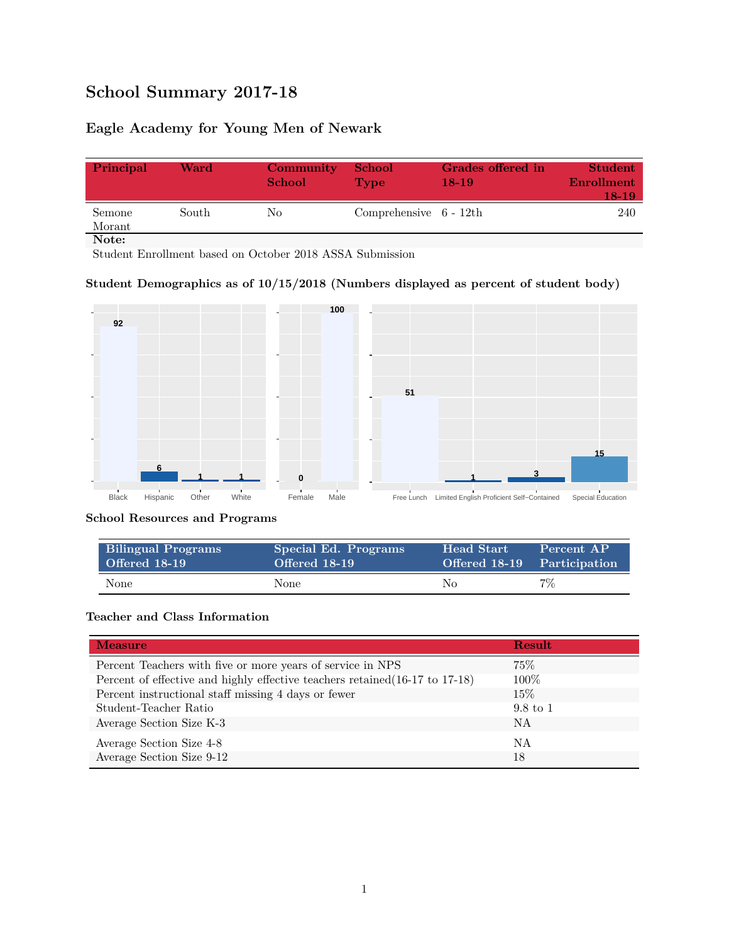# **School Summary 2017-18**

# **Eagle Academy for Young Men of Newark**

| Principal        | Ward  | Community<br><b>School</b> | <b>School</b><br><b>Type</b> | <b>Grades offered in</b><br>18-19 | <b>Student</b><br>Enrollment<br>18-19 |
|------------------|-------|----------------------------|------------------------------|-----------------------------------|---------------------------------------|
| Semone<br>Morant | South | No.                        | Comprehensive $6 - 12th$     |                                   | 240                                   |
| Note:            |       |                            |                              |                                   |                                       |

Student Enrollment based on October 2018 ASSA Submission

### **Student Demographics as of 10/15/2018 (Numbers displayed as percent of student body)**



#### **School Resources and Programs**

| <b>Bilingual Programs</b> | Special Ed. Programs | <b>Head Start</b>           | Percent AP |
|---------------------------|----------------------|-----------------------------|------------|
| Offered 18-19             | Offered 18-19        | Offered 18-19 Participation |            |
| None                      | None                 | No                          | 7%         |

## **Teacher and Class Information**

| <b>Measure</b>                                                               | <b>Result</b>       |
|------------------------------------------------------------------------------|---------------------|
| Percent Teachers with five or more years of service in NPS                   | 75%                 |
| Percent of effective and highly effective teachers retained (16-17 to 17-18) | $100\%$             |
| Percent instructional staff missing 4 days or fewer                          | $15\%$              |
| Student-Teacher Ratio                                                        | $9.8 \text{ to } 1$ |
| Average Section Size K-3                                                     | NA                  |
| Average Section Size 4-8                                                     | NA                  |
| Average Section Size 9-12                                                    | 18                  |